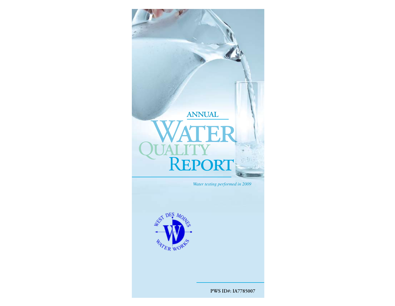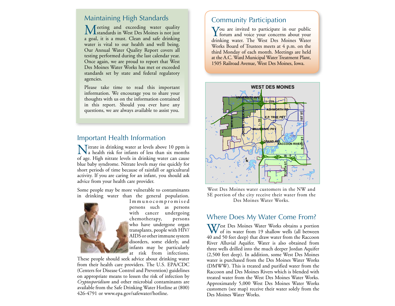## Maintaining High Standards

 $\mathbf M$ eeting and exceeding water quality<br>Mest Des Moines is not just a goal, it is a must. Clean and safe drinking water is vital to our health and well being. Our Annual Water Quality Report covers all testing performed during the last calendar year. Once again, we are proud to report that West Des Moines Water Works has met or exceeded standards set by state and federal regulatory agencies.

Please take time to read this important information. We encourage you to share your thoughts with us on the information contained in this report. Should you ever have any questions, we are always available to assist you.

#### Important Health Information

Nitrate in drinking water at levels above 10 ppm is a health risk for infants of less than six months of age. High nitrate levels in drinking water can cause blue baby syndrome. Nitrate levels may rise quickly for short periods of time because of rainfall or agricultural activity. If you are caring for an infant, you should ask advice from your health care provider.

Some people may be more vulnerable to contaminants in drinking water than the general population.



I m m u n o c o m p r o m i s e d persons such as persons with cancer undergoing chemotherapy, persons who have undergone organ transplants, people with HIV/ AIDS or other immune system disorders, some elderly, and infants may be particularly at risk from infections.

These people should seek advice about drinking water from their health care providers. The U.S. EPA/CDC (Centers for Disease Control and Prevention) guidelines on appropriate means to lessen the risk of infection by *Cryptosporidium* and other microbial contaminants are available from the Safe Drinking Water Hotline at (800) 426-4791 or www.epa.gov/safewater/hotline.

#### Community Participation

You are invited to participate in our public<br>forum and voice your concerns about your drinking water. The West Des Moines Water Works Board of Trustees meets at 4 p.m. on the third Monday of each month. Meetings are held at the A.C. Ward Municipal Water Treatment Plant, 1505 Railroad Avenue, West Des Moines, Iowa.



West Des Moines water customers in the NW and SE portion of the city receive their water from the Des Moines Water Works.

#### Where Does My Water Come From?

West Des Moines Water Works obtains a portion<br>of its water from 19 shallow wells (all between 40 and 50 feet deep) that draw water from the Raccoon River Alluvial Aquifer. Water is also obtained from three wells drilled into the much deeper Jordan Aquifer (2,500 feet deep). In addition, some West Des Moines water is purchased from the Des Moines Water Works (DMWW). This is treated and purified water from the Raccoon and Des Moines Rivers which is blended with treated water from the West Des Moines Water Works. Approximately 5,000 West Des Moines Water Works customers (see map) receive their water solely from the Des Moines Water Works.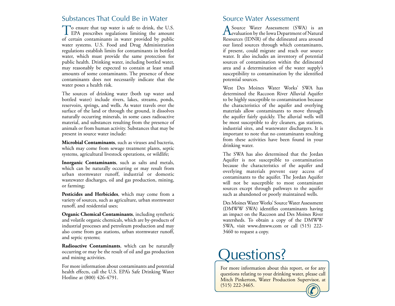## Substances That Could Be in Water

To ensure that tap water is safe to drink, the U.S. **L** EPA prescribes regulations limiting the amount of certain contaminants in water provided by public water systems. U.S. Food and Drug Administration regulations establish limits for contaminants in bottled water, which must provide the same protection for public health. Drinking water, including bottled water, may reasonably be expected to contain at least small amounts of some contaminants. The presence of these contaminants does not necessarily indicate that the water poses a health risk.

The sources of drinking water (both tap water and bottled water) include rivers, lakes, streams, ponds, reservoirs, springs, and wells. As water travels over the surface of the land or through the ground, it dissolves naturally occurring minerals, in some cases radioactive material, and substances resulting from the presence of animals or from human activity. Substances that may be present in source water include:

**Microbial Contaminants**, such as viruses and bacteria, which may come from sewage treatment plants, septic systems, agricultural livestock operations, or wildlife;

**Inorganic Contaminants**, such as salts and metals, which can be naturally occurring or may result from urban stormwater runoff, industrial or domestic wastewater discharges, oil and gas production, mining, or farming;

**Pesticides and Herbicides**, which may come from a variety of sources, such as agriculture, urban stormwater runoff, and residential uses;

**Organic Chemical Contaminants**, including synthetic and volatile organic chemicals, which are by-products of industrial processes and petroleum production and may also come from gas stations, urban stormwater runoff, and septic systems;

**Radioactive Contaminants**, which can be naturally occurring or may be the result of oil and gas production and mining activities.

For more information about contaminants and potential health effects, call the U.S. EPA's Safe Drinking Water Hotline at (800) 426-4791.

### Source Water Assessment

Source Water Assessment (SWA) is an  $\Gamma$ evaluation by the Iowa Department of Natural Resources (IDNR) of the delineated area around our listed sources through which contaminants, if present, could migrate and reach our source water. It also includes an inventory of potential sources of contamination within the delineated area and a determination of the water supply's susceptibility to contamination by the identified potential sources.

West Des Moines Water Works' SWA has determined the Raccoon River Alluvial Aquifer to be highly susceptible to contamination because the characteristics of the aquifer and overlying materials allow contaminants to move through the aquifer fairly quickly. The alluvial wells will be most susceptible to dry cleaners, gas stations, industrial sites, and wastewater dischargers. It is important to note that no contaminants resulting from these activities have been found in your drinking water.

The SWA has also determined that the Jordan Aquifer is not susceptible to contamination because the characteristics of the aquifer and overlying materials prevent easy access of contaminants to the aquifer. The Jordan Aquifer will not be susceptible to most contaminant sources except through pathways to the aquifer such as abandoned or poorly maintained wells.

Des Moines Water Works' Source Water Assessment (DMWW SWA) identifies contaminants having an impact on the Raccoon and Des Moines River watersheds. To obtain a copy of the DMWW SWA, visit www.dmww.com or call (515) 222- 3460 to request a copy.

# Questions?

For more information about this report, or for any questions relating to your drinking water, please call Mitch Pinkerton, Water Production Supervisor, at (515) 222-3465.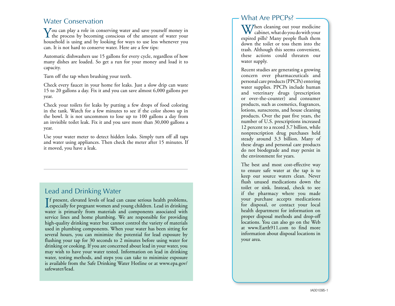### Water Conservation

You can play a role in conserving water and save yourself money in<br>the process by becoming conscious of the amount of water your household is using and by looking for ways to use less whenever you can. It is not hard to conserve water. Here are a few tips:

Automatic dishwashers use 15 gallons for every cycle, regardless of how many dishes are loaded. So get a run for your money and load it to capacity.

Turn off the tap when brushing your teeth.

Check every faucet in your home for leaks. Just a slow drip can waste 15 to 20 gallons a day. Fix it and you can save almost 6,000 gallons per year.

Check your toilets for leaks by putting a few drops of food coloring in the tank. Watch for a few minutes to see if the color shows up in the bowl. It is not uncommon to lose up to 100 gallons a day from an invisible toilet leak. Fix it and you save more than 30,000 gallons a year.

Use your water meter to detect hidden leaks. Simply turn off all taps and water using appliances. Then check the meter after 15 minutes. If it moved, you have a leak.

# Lead and Drinking Water

I f present, elevated levels of lead can cause serious health problems, **L** especially for pregnant women and young children. Lead in drinking water is primarily from materials and components associated with service lines and home plumbing. We are responsible for providing high-quality drinking water but cannot control the variety of materials used in plumbing components. When your water has been sitting for several hours, you can minimize the potential for lead exposure by flushing your tap for 30 seconds to 2 minutes before using water for drinking or cooking. If you are concerned about lead in your water, you may wish to have your water tested. Information on lead in drinking water, testing methods, and steps you can take to minimize exposure is available from the Safe Drinking Water Hotline or at www.epa.gov/ safewater/lead.

#### What Are PPCPs?

When cleaning out your medicine  $\bf{W}$  cabinet, what do you do with your expired pills? Many people flush them down the toilet or toss them into the trash. Although this seems convenient, these actions could threaten our water supply.

Recent studies are generating a growing concern over pharmaceuticals and personal care products (PPCPs) entering water supplies. PPCPs include human and veterinary drugs (prescription or over-the-counter) and consumer products, such as cosmetics, fragrances, lotions, sunscreens, and house cleaning products. Over the past five years, the number of U.S. prescriptions increased 12 percent to a record 3.7 billion, while nonprescription drug purchases held steady around 3.3 billion. Many of these drugs and personal care products do not biodegrade and may persist in the environment for years.

The best and most cost-effective way to ensure safe water at the tap is to keep our source waters clean. Never flush unused medications down the toilet or sink. Instead, check to see if the pharmacy where you made your purchase accepts medications for disposal, or contact your local health department for information on proper disposal methods and drop-off locations. You can also go on the Web at www.Earth911.com to find more information about disposal locations in your area.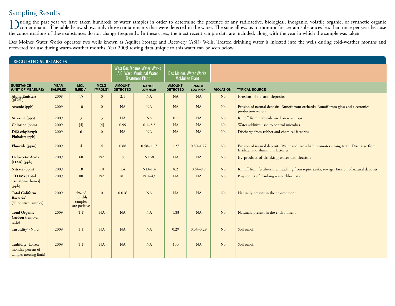# Sampling Results

During the past year we have taken hundreds of water samples in order to determine the presence of any radioactive, biological, inorganic, volatile organic, or synthetic organic organic organic organic organic organic orga the concentrations of these substances do not change frequently. In these cases, the most recent sample data are included, along with the year in which the sample was taken.

Des Moines Water Works operates two wells known as Aquifer Storage and Recovery (ASR) Wells. Treated drinking water is injected into the wells during cold-weather months and recovered for use during warm-weather months. Year 2009 testing data unique to this water can be seen below.

| <b>REGULATED SUBSTANCES</b>                                              |                               |                                                |                                                                                                                                                                                                                                                                                                                                                                                                                                                                                                                                                                                                                                                                                                                                                                                                                                                                                                                    |                                  |                                                                                           |                                                        |                          |                  |                                                                                                                              |  |  |
|--------------------------------------------------------------------------|-------------------------------|------------------------------------------------|--------------------------------------------------------------------------------------------------------------------------------------------------------------------------------------------------------------------------------------------------------------------------------------------------------------------------------------------------------------------------------------------------------------------------------------------------------------------------------------------------------------------------------------------------------------------------------------------------------------------------------------------------------------------------------------------------------------------------------------------------------------------------------------------------------------------------------------------------------------------------------------------------------------------|----------------------------------|-------------------------------------------------------------------------------------------|--------------------------------------------------------|--------------------------|------------------|------------------------------------------------------------------------------------------------------------------------------|--|--|
|                                                                          |                               |                                                |                                                                                                                                                                                                                                                                                                                                                                                                                                                                                                                                                                                                                                                                                                                                                                                                                                                                                                                    |                                  | <b>West Des Moines Water Works</b><br>A.C. Ward Municipal Water<br><b>Treatment Plant</b> | <b>Des Moines Water Works</b><br><b>McMullen Plant</b> |                          |                  |                                                                                                                              |  |  |
| <b>SUBSTANCE</b><br>(UNIT OF MEASURE)                                    | <b>YEAR</b><br><b>SAMPLED</b> | <b>MCL</b><br>[MRDL]                           | <b>MCLG</b><br>[MRDLG]                                                                                                                                                                                                                                                                                                                                                                                                                                                                                                                                                                                                                                                                                                                                                                                                                                                                                             | <b>AMOUNT</b><br><b>DETECTED</b> | <b>RANGE</b><br>LOW-HIGH                                                                  | <b>AMOUNT</b><br><b>DETECTED</b>                       | <b>RANGE</b><br>LOW-HIGH | <b>VIOLATION</b> | <b>TYPICAL SOURCE</b>                                                                                                        |  |  |
| <b>Alpha Emitters</b><br>(pCi/L)                                         | 2008                          | 15                                             | $\mathbf{0}$                                                                                                                                                                                                                                                                                                                                                                                                                                                                                                                                                                                                                                                                                                                                                                                                                                                                                                       | 2.1                              | NA                                                                                        | NA                                                     | <b>NA</b>                | N <sub>o</sub>   | Erosion of natural deposits                                                                                                  |  |  |
| Arsenic (ppb)                                                            | 2009                          | 10                                             | $\mathbf{0}$                                                                                                                                                                                                                                                                                                                                                                                                                                                                                                                                                                                                                                                                                                                                                                                                                                                                                                       | NA                               | NA                                                                                        | <b>NA</b>                                              | <b>NA</b>                | N <sub>o</sub>   | Erosion of natural deposits; Runoff from orchards; Runoff from glass and electronics<br>production wastes                    |  |  |
| Atrazine (ppb)                                                           | 2009                          | $\mathfrak{Z}$                                 | $\mathbf{3}$                                                                                                                                                                                                                                                                                                                                                                                                                                                                                                                                                                                                                                                                                                                                                                                                                                                                                                       | NA                               | NA                                                                                        | 0.1                                                    | <b>NA</b>                | N <sub>o</sub>   | Runoff from herbicide used on row crops                                                                                      |  |  |
| <b>Chlorine</b> (ppm)                                                    | 2009                          | $[4]$                                          | $[4] % \begin{center} \includegraphics[width=\linewidth]{imagesSupplemental/Imetad-Architecture.png} \end{center} % \vspace*{-1em} \caption{The image shows the number of parameters of the estimators in the image. The left is the number of times, and the right is the number of times, and the right is the number of times, and the right is the number of times, and the right is the number of times, and the right is the number of times, and the right is the number of times, and the right is the number of times, and the right is the number of times, and the right is the number of times, and the right is the number of times, and the right is the number of times, and the right is the number of times, and the right is the number of times, and the right is the number of times, and the right is the number of times, and the right is the number of times, and the right is the number$ | 0.99                             | $0.1 - 2.2$                                                                               | <b>NA</b>                                              | NA                       | N <sub>o</sub>   | Water additive used to control microbes                                                                                      |  |  |
| Di(2-ethylhexyl)<br>Phthalate (ppb)                                      | 2009                          | 6                                              | $\mathbf{0}$                                                                                                                                                                                                                                                                                                                                                                                                                                                                                                                                                                                                                                                                                                                                                                                                                                                                                                       | <b>NA</b>                        | <b>NA</b>                                                                                 | <b>NA</b>                                              | NA                       | N <sub>o</sub>   | Discharge from rubber and chemical factories                                                                                 |  |  |
| Fluoride (ppm)                                                           | 2009                          | $\overline{4}$                                 | $\overline{4}$                                                                                                                                                                                                                                                                                                                                                                                                                                                                                                                                                                                                                                                                                                                                                                                                                                                                                                     | 0.88                             | $0.58 - 1.17$                                                                             | 1.27                                                   | $0.80 - 1.27$            | N <sub>o</sub>   | Erosion of natural deposits; Water additive which promotes strong teeth; Discharge from<br>fertilizer and aluminum factories |  |  |
| <b>Haloacetic Acids</b><br>[HAA] (ppb)                                   | 2009                          | 60                                             | NA                                                                                                                                                                                                                                                                                                                                                                                                                                                                                                                                                                                                                                                                                                                                                                                                                                                                                                                 | 8                                | $ND-8$                                                                                    | <b>NA</b>                                              | <b>NA</b>                | N <sub>o</sub>   | By-product of drinking water disinfection                                                                                    |  |  |
| Nitrate (ppm)                                                            | 2009                          | 10                                             | 10                                                                                                                                                                                                                                                                                                                                                                                                                                                                                                                                                                                                                                                                                                                                                                                                                                                                                                                 | 1.4                              | $ND-1.4$                                                                                  | 8.2                                                    | $0.64 - 8.2$             | N <sub>o</sub>   | Runoff from fertilizer use; Leaching from septic tanks, sewage; Erosion of natural deposits                                  |  |  |
| <b>TTHMs</b> [Total<br><b>Trihalomethanes</b><br>(ppb)                   | 2009                          | 80                                             | <b>NA</b>                                                                                                                                                                                                                                                                                                                                                                                                                                                                                                                                                                                                                                                                                                                                                                                                                                                                                                          | 18.1                             | $ND-43$                                                                                   | <b>NA</b>                                              | <b>NA</b>                | N <sub>o</sub>   | By-product of drinking water chlorination                                                                                    |  |  |
| <b>Total Coliform</b><br>Bacteria <sup>1</sup><br>(% positive samples)   | 2009                          | $5\%$ of<br>monthly<br>samples<br>are positive | $\mathbf{0}$                                                                                                                                                                                                                                                                                                                                                                                                                                                                                                                                                                                                                                                                                                                                                                                                                                                                                                       | 0.016                            | <b>NA</b>                                                                                 | <b>NA</b>                                              | <b>NA</b>                | N <sub>o</sub>   | Naturally present in the environment                                                                                         |  |  |
| <b>Total Organic</b><br>Carbon (removal<br>ratio)                        | 2009                          | <b>TT</b>                                      | <b>NA</b>                                                                                                                                                                                                                                                                                                                                                                                                                                                                                                                                                                                                                                                                                                                                                                                                                                                                                                          | NA                               | <b>NA</b>                                                                                 | 1.83                                                   | <b>NA</b>                | N <sub>o</sub>   | Naturally present in the environment                                                                                         |  |  |
| Turbidity <sup>2</sup> (NTU)                                             | 2009                          | <b>TT</b>                                      | NA                                                                                                                                                                                                                                                                                                                                                                                                                                                                                                                                                                                                                                                                                                                                                                                                                                                                                                                 | NA                               | NA                                                                                        | 0.29                                                   | $0.04 - 0.29$            | No               | Soil runoff                                                                                                                  |  |  |
| <b>Turbidity (Lowest</b><br>monthly percent of<br>samples meeting limit) | 2009                          | <b>TT</b>                                      | <b>NA</b>                                                                                                                                                                                                                                                                                                                                                                                                                                                                                                                                                                                                                                                                                                                                                                                                                                                                                                          | <b>NA</b>                        | <b>NA</b>                                                                                 | 100                                                    | <b>NA</b>                | N <sub>o</sub>   | Soil runoff                                                                                                                  |  |  |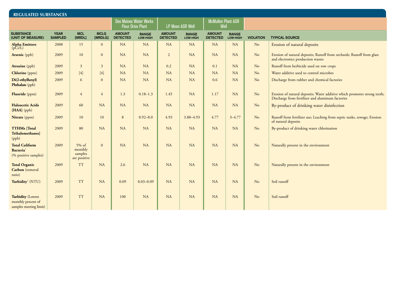| <b>REGULATED SUBSTANCES</b>                                              |                               |                                                |                                                           |                                  |                          |                                  |                                   |                                  |                          |                  |                                                                                                                              |
|--------------------------------------------------------------------------|-------------------------------|------------------------------------------------|-----------------------------------------------------------|----------------------------------|--------------------------|----------------------------------|-----------------------------------|----------------------------------|--------------------------|------------------|------------------------------------------------------------------------------------------------------------------------------|
|                                                                          |                               |                                                | <b>Des Moines Water Works</b><br><b>Fleur Drive Plant</b> |                                  | <b>LP Moon ASR Well</b>  |                                  | <b>McMullen Plant ASR</b><br>Well |                                  |                          |                  |                                                                                                                              |
| <b>SUBSTANCE</b><br>(UNIT OF MEASURE)                                    | <b>YEAR</b><br><b>SAMPLED</b> | <b>MCL</b><br>[MRDL]                           | <b>MCLG</b><br>[MRDLG]                                    | <b>AMOUNT</b><br><b>DETECTED</b> | <b>RANGE</b><br>LOW-HIGH | <b>AMOUNT</b><br><b>DETECTED</b> | <b>RANGE</b><br>LOW-HIGH          | <b>AMOUNT</b><br><b>DETECTED</b> | <b>RANGE</b><br>LOW-HIGH | <b>VIOLATION</b> | <b>TYPICAL SOURCE</b>                                                                                                        |
| <b>Alpha Emitters</b><br>(pCi/L)                                         | 2008                          | 15                                             | $\mathbf{0}$                                              | NA                               | NA                       | NA                               | <b>NA</b>                         | <b>NA</b>                        | <b>NA</b>                | No               | Erosion of natural deposits                                                                                                  |
| Arsenic (ppb)                                                            | 2009                          | 10                                             | $\mathbf{0}$                                              | NA                               | <b>NA</b>                | $\overline{2}$                   | <b>NA</b>                         | <b>NA</b>                        | <b>NA</b>                | No               | Erosion of natural deposits; Runoff from orchards; Runoff from glass<br>and electronics production wastes                    |
| <b>Atrazine</b> (ppb)                                                    | 2009                          | $\overline{3}$                                 | $\overline{3}$                                            | NA                               | NA                       | 0.2                              | NA                                | 0.1                              | <b>NA</b>                | No               | Runoff from herbicide used on row crops                                                                                      |
| <b>Chlorine</b> (ppm)                                                    | 2009                          | [4]                                            | [4]                                                       | NA                               | <b>NA</b>                | NA                               | <b>NA</b>                         | <b>NA</b>                        | <b>NA</b>                | No               | Water additive used to control microbes                                                                                      |
| Di(2-ethylhexyl)<br>Phthalate (ppb)                                      | 2009                          | 6                                              | $\mathbf{0}$                                              | <b>NA</b>                        | <b>NA</b>                | NA                               | <b>NA</b>                         | 0.6                              | <b>NA</b>                | No               | Discharge from rubber and chemical factories                                                                                 |
| Fluoride (ppm)                                                           | 2009                          | 4                                              | $\overline{4}$                                            | 1.3                              | $0.18 - 1.3$             | 1.45                             | NA                                | 1.17                             | <b>NA</b>                | No               | Erosion of natural deposits; Water additive which promotes strong teeth;<br>Discharge from fertilizer and aluminum factories |
| <b>Haloacetic Acids</b><br>[HAA] (ppb)                                   | 2009                          | 60                                             | NA                                                        | <b>NA</b>                        | <b>NA</b>                | <b>NA</b>                        | <b>NA</b>                         | <b>NA</b>                        | <b>NA</b>                | N <sub>o</sub>   | By-product of drinking water disinfection                                                                                    |
| Nitrate (ppm)                                                            | 2009                          | 10                                             | 10                                                        | 8                                | $0.92 - 8.0$             | 4.93                             | 3.88-4.93                         | 4.77                             | $3 - 4.77$               | No               | Runoff from fertilizer use; Leaching from septic tanks, sewage; Erosion<br>of natural deposits                               |
| <b>TTHMs</b> [Total<br><b>Trihalomethanes</b><br>(ppb)                   | 2009                          | 80                                             | <b>NA</b>                                                 | <b>NA</b>                        | <b>NA</b>                | NA                               | <b>NA</b>                         | <b>NA</b>                        | <b>NA</b>                | No               | By-product of drinking water chlorination                                                                                    |
| <b>Total Coliform</b><br><b>Bacteria</b><br>(% positive samples)         | 2009                          | $5\%$ of<br>monthly<br>samples<br>are positive | $\overline{0}$                                            | NA                               | <b>NA</b>                | NA                               | NA                                | <b>NA</b>                        | <b>NA</b>                | No               | Naturally present in the environment                                                                                         |
| <b>Total Organic</b><br>Carbon (removal<br>ratio)                        | 2009                          | <b>TT</b>                                      | <b>NA</b>                                                 | 2.6                              | <b>NA</b>                | NA                               | NA                                | <b>NA</b>                        | <b>NA</b>                | N <sub>o</sub>   | Naturally present in the environment                                                                                         |
| Turbidity <sup>2</sup> (NTU)                                             | 2009                          | <b>TT</b>                                      | NA                                                        | 0.09                             | $0.03 - 0.09$            | <b>NA</b>                        | <b>NA</b>                         | <b>NA</b>                        | <b>NA</b>                | N <sub>o</sub>   | Soil runoff                                                                                                                  |
| <b>Turbidity (Lowest</b><br>monthly percent of<br>samples meeting limit) | 2009                          | <b>TT</b>                                      | NA                                                        | 100                              | <b>NA</b>                | <b>NA</b>                        | NA                                | <b>NA</b>                        | <b>NA</b>                | N <sub>o</sub>   | Soil runoff                                                                                                                  |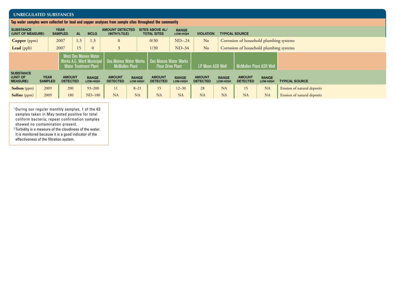| <b>UNREGULATED SUBSTANCES</b>                                                                            |                               |                                                                                                                    |     |                                 |                                  |                                                                                          |                                  |                          |                                  |                          |                                         |                          |                             |
|----------------------------------------------------------------------------------------------------------|-------------------------------|--------------------------------------------------------------------------------------------------------------------|-----|---------------------------------|----------------------------------|------------------------------------------------------------------------------------------|----------------------------------|--------------------------|----------------------------------|--------------------------|-----------------------------------------|--------------------------|-----------------------------|
| Tap water samples were collected for lead and copper analyses from sample sites throughout the community |                               |                                                                                                                    |     |                                 |                                  |                                                                                          |                                  |                          |                                  |                          |                                         |                          |                             |
| <b>SUBSTANCE</b><br>(UNIT OF MEASURE)                                                                    |                               | <b>YEAR</b><br><b>AL</b><br><b>MCLG</b><br><b>SAMPLED</b>                                                          |     |                                 |                                  | <b>SITES ABOVE AL/</b><br><b>AMOUNT DETECTED</b><br>$(90TH%$ TILE)<br><b>TOTAL SITES</b> |                                  | <b>RANGE</b><br>LOW-HIGH | <b>VIOLATION</b>                 |                          | <b>TYPICAL SOURCE</b>                   |                          |                             |
| <b>Copper</b> (ppm)                                                                                      |                               | 2007                                                                                                               | 1.3 | 1.3                             | $\mathbf{0}$                     |                                                                                          | 0/30                             | $ND-24$                  | N <sub>o</sub>                   |                          | Corrosion of household plumbing systems |                          |                             |
| Lead (ppb)                                                                                               |                               | 2007                                                                                                               |     | $\theta$                        | 3                                |                                                                                          | 1/30                             | $ND-34$                  | N <sub>o</sub>                   |                          | Corrosion of household plumbing systems |                          |                             |
|                                                                                                          |                               | <b>West Des Moines Water</b><br>Works A.C. Ward Municipal   Des Moines Water Works<br><b>Water Treatment Plant</b> |     | <b>McMullen Plant</b>           |                                  | <b>Des Moines Water Works</b><br><b>Fleur Drive Plant</b>                                |                                  | <b>LP Moon ASR Well</b>  |                                  | McMullen Plant ASR Well  |                                         |                          |                             |
| <b>SUBSTANCE</b><br>(UNIT OF<br><b>MEASURE)</b>                                                          | <b>YEAR</b><br><b>SAMPLED</b> | <b>AMOUNT</b><br><b>DETECTED</b>                                                                                   |     | <b>RANGE</b><br><b>LOW-HIGH</b> | <b>AMOUNT</b><br><b>DETECTED</b> | <b>RANGE</b><br><b>LOW-HIGH</b>                                                          | <b>AMOUNT</b><br><b>DETECTED</b> | <b>RANGE</b><br>LOW-HIGH | <b>AMOUNT</b><br><b>DETECTED</b> | <b>RANGE</b><br>LOW-HIGH | <b>AMOUNT</b><br><b>DETECTED</b>        | <b>RANGE</b><br>LOW-HIGH | <b>TYPICAL SOURCE</b>       |
| <b>Sodium</b> (ppm)                                                                                      | 2009                          | 200                                                                                                                |     | $93 - 200$                      | 11                               | $8 - 21$                                                                                 | 15                               | $12 - 30$                | 28                               | NA                       | 15                                      | <b>NA</b>                | Erosion of natural deposits |
| <b>Sulfate</b> (ppm)                                                                                     | 2009                          | 180                                                                                                                |     | $ND-180$                        | <b>NA</b>                        | <b>NA</b>                                                                                | <b>NA</b>                        | <b>NA</b>                | <b>NA</b>                        | <b>NA</b>                | NA                                      | <b>NA</b>                | Erosion of natural deposits |

1 During our regular monthly samples, 1 of the 63 samples taken in May tested positive for total coliform bacteria; repeat confirmation samples showed no contamination present.

<sup>2</sup> Turbidity is a measure of the cloudiness of the water. It is monitored because it is a good indicator of the effectiveness of the filtration system.